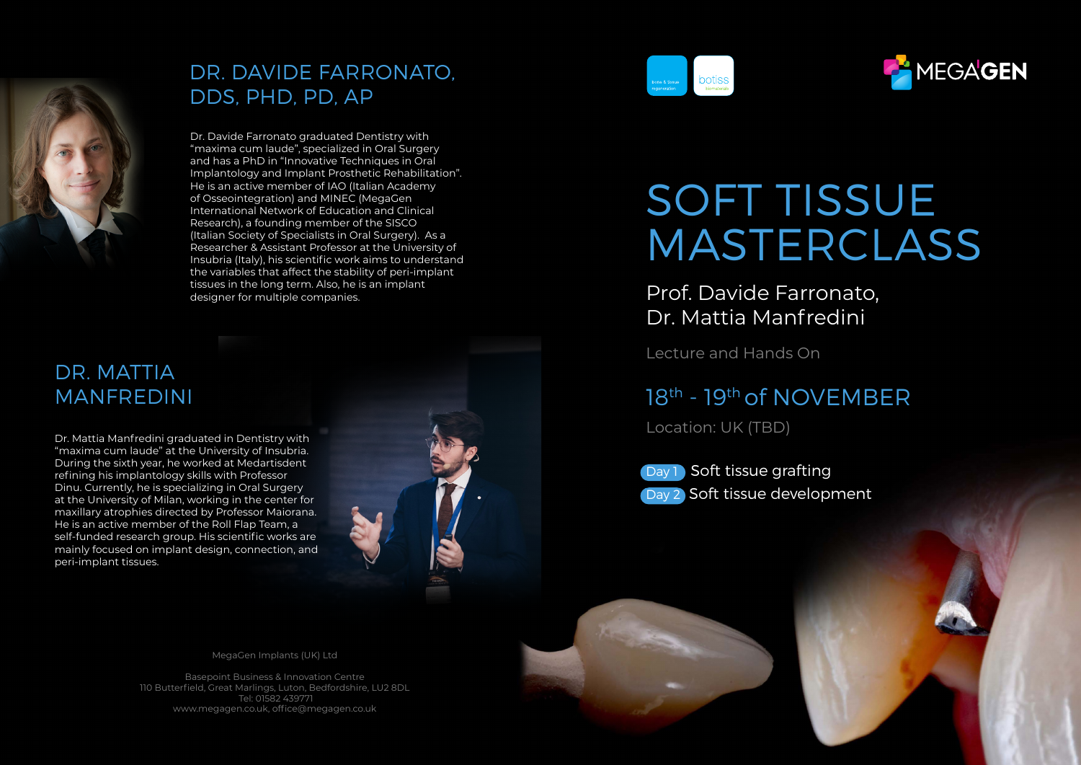

## DR. DAVIDE FARRONATO, DDS, PHD, PD, AP

Dr. Davide Farronato graduated Dentistry with "maxima cum laude", specialized in Oral Surgery and has a PhD in "Innovative Techniques in Oral Implantology and Implant Prosthetic Rehabilitation". He is an active member of IAO (Italian Academy of Osseointegration) and MINEC (MegaGen International Network of Education and Clinical Research), a founding member of the SISCO (Italian Society of Specialists in Oral Surgery). As a Researcher & Assistant Professor at the University of Insubria (Italy), his scientific work aims to understand the variables that affect the stability of peri-implant tissues in the long term. Also, he is an implant designer for multiple companies.

# DR. MATTIA

Dr. Mattia Manfredini graduated in Dentistry with "maxima cum laude" at the University of Insubria. During the sixth year, he worked at Medartisdent refining his implantology skills with Professor Dinu. Currently, he is specializing in Oral Surgery at the University of Milan, working in the center for maxillary atrophies directed by Professor Maiorana. He is an active member of the Roll Flap Team, a self-funded research group. His scientific works are mainly focused on implant design, connection, and peri-implant tissues.



# SOFT TISSUE MASTERCLASS

MEGAGEN

Prof. Davide Farronato, Dr. Mattia Manfredini

Lecture and Hands On

## MANFREDINI 18<sup>th</sup> - 19<sup>th</sup> of NOVEMBER

Location: UK (TBD)

Day 1 Soft tissue grafting Day 2 Soft tissue development

MegaGen Implants (UK) Ltd

Basepoint Business & Innovation Centre 110 Butterfield, Great Marlings, Luton, Bedfordshire, LU2 8DL Tel: 01582 439771 www.megagen.co.uk, office@megagen.co.uk